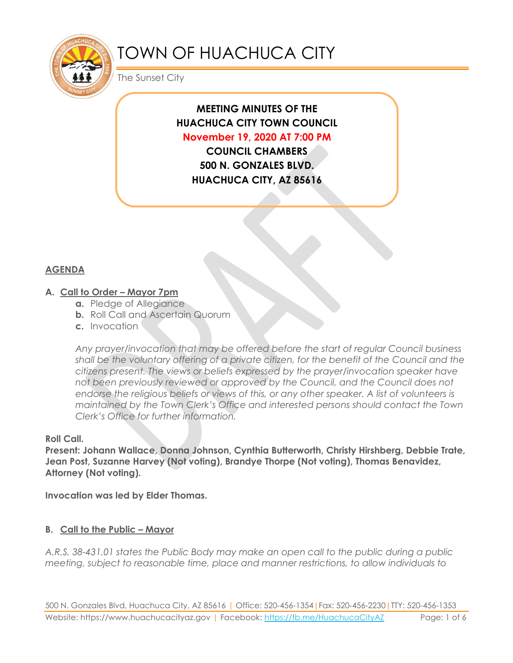

# TOWN OF HUACHUCA CITY

The Sunset City

# **MEETING MINUTES OF THE HUACHUCA CITY TOWN COUNCIL November 19, 2020 AT 7:00 PM**

**COUNCIL CHAMBERS 500 N. GONZALES BLVD. HUACHUCA CITY, AZ 85616**

# **AGENDA**

# **A. Call to Order – Mayor 7pm**

- **a.** Pledge of Allegiance
- **b.** Roll Call and Ascertain Quorum
- **c.** Invocation

*Any prayer/invocation that may be offered before the start of regular Council business shall be the voluntary offering of a private citizen, for the benefit of the Council and the citizens present. The views or beliefs expressed by the prayer/invocation speaker have not been previously reviewed or approved by the Council, and the Council does not endorse the religious beliefs or views of this, or any other speaker. A list of volunteers is maintained by the Town Clerk's Office and interested persons should contact the Town Clerk's Office for further information.*

#### **Roll Call.**

**Present: Johann Wallace, Donna Johnson, Cynthia Butterworth, Christy Hirshberg, Debbie Trate, Jean Post, Suzanne Harvey (Not voting), Brandye Thorpe (Not voting), Thomas Benavidez, Attorney (Not voting).**

**Invocation was led by Elder Thomas.**

# **B. Call to the Public – Mayor**

*A.R.S. 38-431.01 states the Public Body may make an open call to the public during a public meeting, subject to reasonable time, place and manner restrictions, to allow individuals to*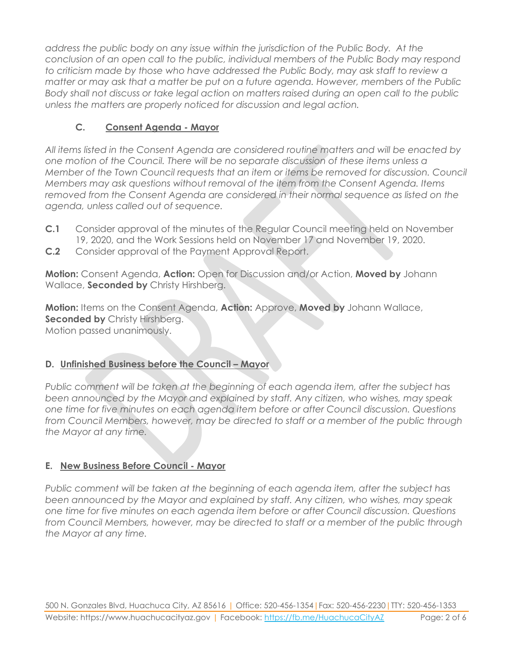*address the public body on any issue within the jurisdiction of the Public Body. At the conclusion of an open call to the public, individual members of the Public Body may respond to criticism made by those who have addressed the Public Body, may ask staff to review a matter or may ask that a matter be put on a future agenda. However, members of the Public Body shall not discuss or take legal action on matters raised during an open call to the public unless the matters are properly noticed for discussion and legal action.*

# **C. Consent Agenda - Mayor**

*All items listed in the Consent Agenda are considered routine matters and will be enacted by one motion of the Council. There will be no separate discussion of these items unless a Member of the Town Council requests that an item or items be removed for discussion. Council Members may ask questions without removal of the item from the Consent Agenda. Items removed from the Consent Agenda are considered in their normal sequence as listed on the agenda, unless called out of sequence.*

- **C.1** Consider approval of the minutes of the Regular Council meeting held on November 19, 2020, and the Work Sessions held on November 17 and November 19, 2020.
- **C.2** Consider approval of the Payment Approval Report.

**Motion:** Consent Agenda, **Action:** Open for Discussion and/or Action, **Moved by** Johann Wallace, **Seconded by** Christy Hirshberg.

**Motion:** Items on the Consent Agenda, **Action:** Approve, **Moved by** Johann Wallace, **Seconded by** Christy Hirshberg. Motion passed unanimously.

#### **D.** Unfinished Business before the Council – Mayor

*Public comment will be taken at the beginning of each agenda item, after the subject has been announced by the Mayor and explained by staff. Any citizen, who wishes, may speak one time for five minutes on each agenda item before or after Council discussion. Questions from Council Members, however, may be directed to staff or a member of the public through the Mayor at any time.*

# **E. New Business Before Council - Mayor**

*Public comment will be taken at the beginning of each agenda item, after the subject has been announced by the Mayor and explained by staff. Any citizen, who wishes, may speak one time for five minutes on each agenda item before or after Council discussion. Questions from Council Members, however, may be directed to staff or a member of the public through the Mayor at any time.*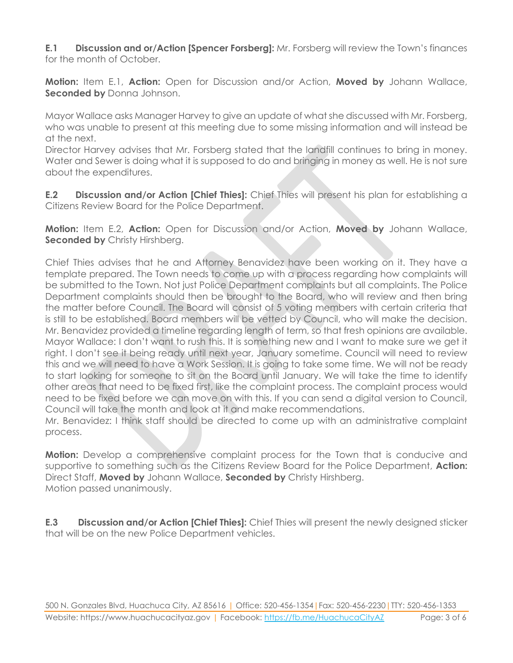**E.1 Discussion and or/Action [Spencer Forsberg]:** Mr. Forsberg will review the Town's finances for the month of October.

**Motion:** Item E.1, **Action:** Open for Discussion and/or Action, **Moved by** Johann Wallace, **Seconded by** Donna Johnson.

Mayor Wallace asks Manager Harvey to give an update of what she discussed with Mr. Forsberg, who was unable to present at this meeting due to some missing information and will instead be at the next.

Director Harvey advises that Mr. Forsberg stated that the landfill continues to bring in money. Water and Sewer is doing what it is supposed to do and bringing in money as well. He is not sure about the expenditures.

**E.2 Discussion and/or Action [Chief Thies]:** Chief Thies will present his plan for establishing a Citizens Review Board for the Police Department.

**Motion:** Item E.2, **Action:** Open for Discussion and/or Action, **Moved by** Johann Wallace, **Seconded by** Christy Hirshberg.

Chief Thies advises that he and Attorney Benavidez have been working on it. They have a template prepared. The Town needs to come up with a process regarding how complaints will be submitted to the Town. Not just Police Department complaints but all complaints. The Police Department complaints should then be brought to the Board, who will review and then bring the matter before Council. The Board will consist of 5 voting members with certain criteria that is still to be established. Board members will be vetted by Council, who will make the decision. Mr. Benavidez provided a timeline regarding length of term, so that fresh opinions are available. Mayor Wallace: I don't want to rush this. It is something new and I want to make sure we get it right. I don't see it being ready until next year, January sometime. Council will need to review this and we will need to have a Work Session. It is going to take some time. We will not be ready to start looking for someone to sit on the Board until January. We will take the time to identify other areas that need to be fixed first, like the complaint process. The complaint process would need to be fixed before we can move on with this. If you can send a digital version to Council, Council will take the month and look at it and make recommendations.

Mr. Benavidez: I think staff should be directed to come up with an administrative complaint process.

**Motion:** Develop a comprehensive complaint process for the Town that is conducive and supportive to something such as the Citizens Review Board for the Police Department, **Action:** Direct Staff, **Moved by** Johann Wallace, **Seconded by** Christy Hirshberg. Motion passed unanimously.

**E.3 Discussion and/or Action [Chief Thies]:** Chief Thies will present the newly designed sticker that will be on the new Police Department vehicles.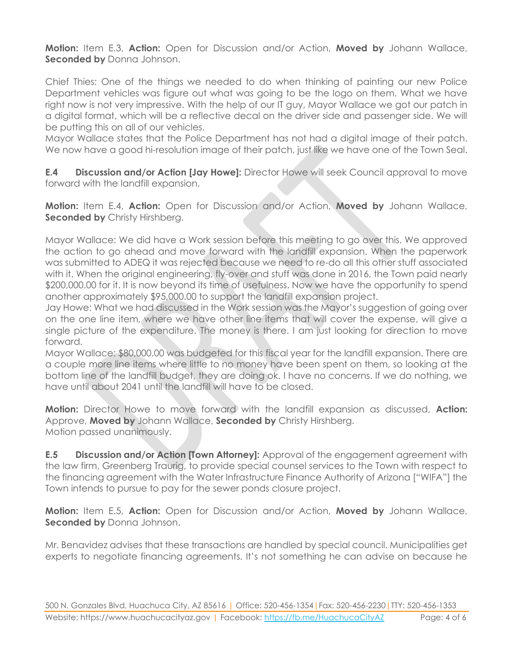**Motion:** Item E.3, **Action:** Open for Discussion and/or Action, **Moved by** Johann Wallace, **Seconded by** Donna Johnson.

Chief Thies: One of the things we needed to do when thinking of painting our new Police Department vehicles was figure out what was going to be the logo on them. What we have right now is not very impressive. With the help of our IT guy, Mayor Wallace we got our patch in a digital format, which will be a reflective decal on the driver side and passenger side. We will be putting this on all of our vehicles.

Mayor Wallace states that the Police Department has not had a digital image of their patch. We now have a good hi-resolution image of their patch, just like we have one of the Town Seal.

**E.4 Discussion and/or Action [Jay Howe]:** Director Howe will seek Council approval to move forward with the landfill expansion.

**Motion:** Item E.4, **Action:** Open for Discussion and/or Action, **Moved by** Johann Wallace, **Seconded by** Christy Hirshberg.

Mayor Wallace: We did have a Work session before this meeting to go over this. We approved the action to go ahead and move forward with the landfill expansion. When the paperwork was submitted to ADEQ it was rejected because we need to re-do all this other stuff associated with it. When the original engineering, fly-over and stuff was done in 2016, the Town paid nearly \$200,000.00 for it. It is now beyond its time of usefulness. Now we have the opportunity to spend another approximately \$95,000.00 to support the landfill expansion project.

Jay Howe: What we had discussed in the Work session was the Mayor's suggestion of going over on the one line item, where we have other line items that will cover the expense, will give a single picture of the expenditure. The money is there. I am just looking for direction to move forward.

Mayor Wallace: \$80,000.00 was budgeted for this fiscal year for the landfill expansion. There are a couple more line items where little to no money have been spent on them, so looking at the bottom line of the landfill budget, they are doing ok. I have no concerns. If we do nothing, we have until about 2041 until the landfill will have to be closed.

**Motion:** Director Howe to move forward with the landfill expansion as discussed, **Action:** Approve, **Moved by** Johann Wallace, **Seconded by** Christy Hirshberg. Motion passed unanimously.

**E.5 Discussion and/or Action [Town Attorney]:** Approval of the engagement agreement with the law firm, Greenberg Traurig, to provide special counsel services to the Town with respect to the financing agreement with the Water Infrastructure Finance Authority of Arizona ["WIFA"] the Town intends to pursue to pay for the sewer ponds closure project.

**Motion:** Item E.5, **Action:** Open for Discussion and/or Action, **Moved by** Johann Wallace, **Seconded by** Donna Johnson.

Mr. Benavidez advises that these transactions are handled by special council. Municipalities get experts to negotiate financing agreements. It's not something he can advise on because he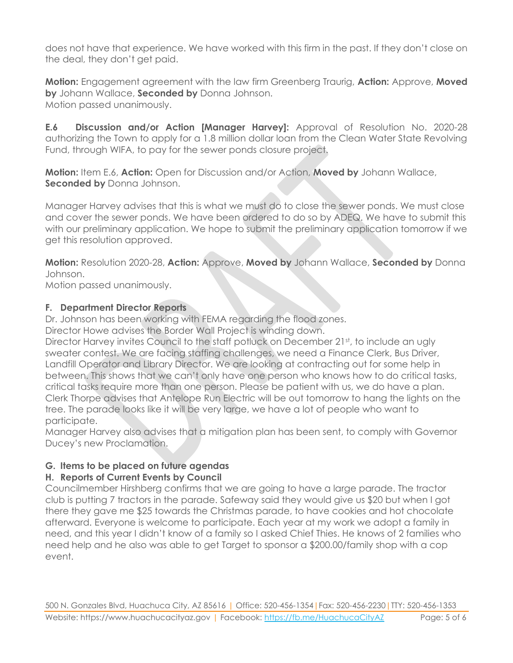does not have that experience. We have worked with this firm in the past. If they don't close on the deal, they don't get paid.

**Motion:** Engagement agreement with the law firm Greenberg Traurig, **Action:** Approve, **Moved by** Johann Wallace, **Seconded by** Donna Johnson. Motion passed unanimously.

**E.6 Discussion and/or Action [Manager Harvey]:** Approval of Resolution No. 2020-28 authorizing the Town to apply for a 1.8 million dollar loan from the Clean Water State Revolving Fund, through WIFA, to pay for the sewer ponds closure project.

**Motion:** Item E.6, **Action:** Open for Discussion and/or Action, **Moved by** Johann Wallace, **Seconded by** Donna Johnson.

Manager Harvey advises that this is what we must do to close the sewer ponds. We must close and cover the sewer ponds. We have been ordered to do so by ADEQ. We have to submit this with our preliminary application. We hope to submit the preliminary application tomorrow if we get this resolution approved.

**Motion:** Resolution 2020-28, **Action:** Approve, **Moved by** Johann Wallace, **Seconded by** Donna Johnson.

Motion passed unanimously.

# **F. Department Director Reports**

Dr. Johnson has been working with FEMA regarding the flood zones.

Director Howe advises the Border Wall Project is winding down.

Director Harvey invites Council to the staff potluck on December 21st, to include an ugly sweater contest. We are facing staffing challenges, we need a Finance Clerk, Bus Driver, Landfill Operator and Library Director. We are looking at contracting out for some help in between. This shows that we can't only have one person who knows how to do critical tasks, critical tasks require more than one person. Please be patient with us, we do have a plan. Clerk Thorpe advises that Antelope Run Electric will be out tomorrow to hang the lights on the tree. The parade looks like it will be very large, we have a lot of people who want to participate.

Manager Harvey also advises that a mitigation plan has been sent, to comply with Governor Ducey's new Proclamation.

# **G. Items to be placed on future agendas**

# **H. Reports of Current Events by Council**

Councilmember Hirshberg confirms that we are going to have a large parade. The tractor club is putting 7 tractors in the parade. Safeway said they would give us \$20 but when I got there they gave me \$25 towards the Christmas parade, to have cookies and hot chocolate afterward. Everyone is welcome to participate. Each year at my work we adopt a family in need, and this year I didn't know of a family so I asked Chief Thies. He knows of 2 families who need help and he also was able to get Target to sponsor a \$200.00/family shop with a cop event.